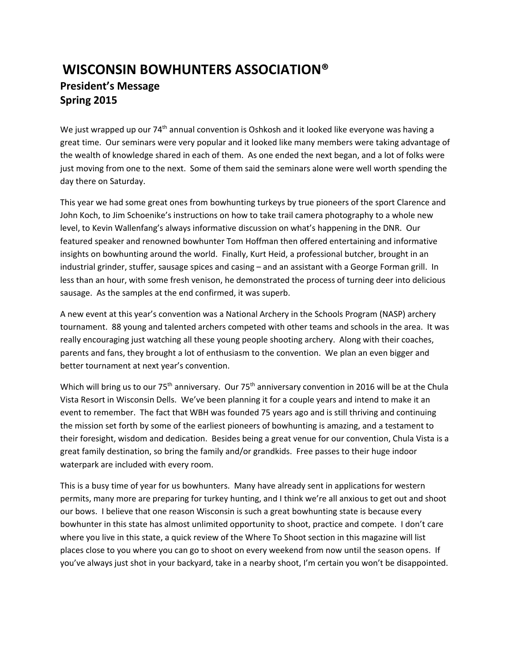## **WISCONSIN BOWHUNTERS ASSOCIATION® President's Message Spring 2015**

We just wrapped up our 74<sup>th</sup> annual convention is Oshkosh and it looked like everyone was having a great time. Our seminars were very popular and it looked like many members were taking advantage of the wealth of knowledge shared in each of them. As one ended the next began, and a lot of folks were just moving from one to the next. Some of them said the seminars alone were well worth spending the day there on Saturday.

This year we had some great ones from bowhunting turkeys by true pioneers of the sport Clarence and John Koch, to Jim Schoenike's instructions on how to take trail camera photography to a whole new level, to Kevin Wallenfang's always informative discussion on what's happening in the DNR. Our featured speaker and renowned bowhunter Tom Hoffman then offered entertaining and informative insights on bowhunting around the world. Finally, Kurt Heid, a professional butcher, brought in an industrial grinder, stuffer, sausage spices and casing – and an assistant with a George Forman grill. In less than an hour, with some fresh venison, he demonstrated the process of turning deer into delicious sausage. As the samples at the end confirmed, it was superb.

A new event at this year's convention was a National Archery in the Schools Program (NASP) archery tournament. 88 young and talented archers competed with other teams and schools in the area. It was really encouraging just watching all these young people shooting archery. Along with their coaches, parents and fans, they brought a lot of enthusiasm to the convention. We plan an even bigger and better tournament at next year's convention.

Which will bring us to our 75<sup>th</sup> anniversary. Our 75<sup>th</sup> anniversary convention in 2016 will be at the Chula Vista Resort in Wisconsin Dells. We've been planning it for a couple years and intend to make it an event to remember. The fact that WBH was founded 75 years ago and is still thriving and continuing the mission set forth by some of the earliest pioneers of bowhunting is amazing, and a testament to their foresight, wisdom and dedication. Besides being a great venue for our convention, Chula Vista is a great family destination, so bring the family and/or grandkids. Free passes to their huge indoor waterpark are included with every room.

This is a busy time of year for us bowhunters. Many have already sent in applications for western permits, many more are preparing for turkey hunting, and I think we're all anxious to get out and shoot our bows. I believe that one reason Wisconsin is such a great bowhunting state is because every bowhunter in this state has almost unlimited opportunity to shoot, practice and compete. I don't care where you live in this state, a quick review of the Where To Shoot section in this magazine will list places close to you where you can go to shoot on every weekend from now until the season opens. If you've always just shot in your backyard, take in a nearby shoot, I'm certain you won't be disappointed.